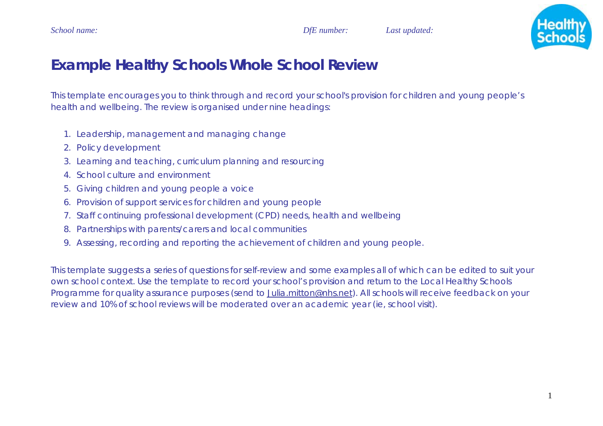

# **Example Healthy Schools Whole School Review**

This template encourages you to think through and record your school's provision for children and young people's health and wellbeing. The review is organised under nine headings:

- 1. Leadership, management and managing change
- 2. Policy development
- 3. Learning and teaching, curriculum planning and resourcing
- 4. School culture and environment
- 5. Giving children and young people a voice
- 6. Provision of support services for children and young people
- 7. Staff continuing professional development (CPD) needs, health and wellbeing
- 8. Partnerships with parents/carers and local communities
- 9. Assessing, recording and reporting the achievement of children and young people.

This template suggests a series of questions for self-review and some examples all of which can be edited to suit your own school context. Use the template to record your school's provision and return to the Local Healthy Schools Programme for quality assurance purposes (send to Julia.mitton@nhs.net). All schools will receive feedback on your review and 10% of school reviews will be moderated over an academic year (ie, school visit).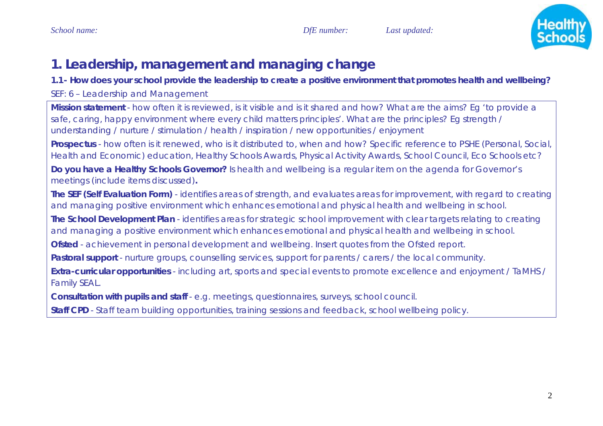

# **1. Leadership, management and managing change**

**1.1- How does your school provide the leadership to create a positive environment that promotes health and wellbeing?** 

# *SEF: 6 – Leadership and Management*

**Mission statement** - how often it is reviewed, is it visible and is it shared and how? What are the aims? Eg 'to provide a safe, caring, happy environment where every child matters principles'. What are the principles? Eg strength / understanding / nurture / stimulation / health / inspiration / new opportunities / enjoyment

**Prospectus** - how often is it renewed, who is it distributed to, when and how? Specific reference to PSHE (Personal, Social, Health and Economic) education, Healthy Schools Awards, Physical Activity Awards, School Council, Eco Schools etc?

**Do you have a Healthy Schools Governor?** Is health and wellbeing is a regular item on the agenda for Governor's meetings (include items discussed)**.** 

**The SEF (Self Evaluation Form)** - identifies areas of strength, and evaluates areas for improvement, with regard to creating and managing positive environment which enhances emotional and physical health and wellbeing in school.

**The School Development Plan** - identifies areas for strategic school improvement with clear targets relating to creating and managing a positive environment which enhances emotional and physical health and wellbeing in school.

**Ofsted** - achievement in personal development and wellbeing. Insert quotes from the Ofsted report.

**Pastoral support** - nurture groups, counselling services, support for parents / carers / the local community.

**Extra-curricular opportunities** - including art, sports and special events to promote excellence and enjoyment / TaMHS / Family SEAL.

**Consultation with pupils and staff** - e.g. meetings, questionnaires, surveys, school council.

**Staff CPD** - Staff team building opportunities, training sessions and feedback, school wellbeing policy.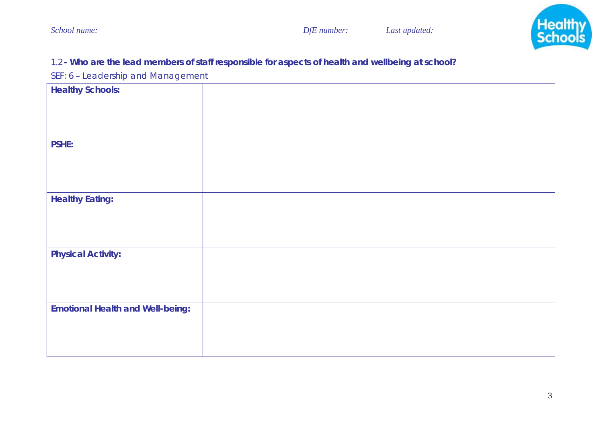

# 1.2**- Who are the lead members of staff responsible for aspects of health and wellbeing at school?**

*SEF: 6 – Leadership and Management* 

| <b>Healthy Schools:</b>                 |  |
|-----------------------------------------|--|
|                                         |  |
| <b>PSHE:</b>                            |  |
| <b>Healthy Eating:</b>                  |  |
| <b>Physical Activity:</b>               |  |
| <b>Emotional Health and Well-being:</b> |  |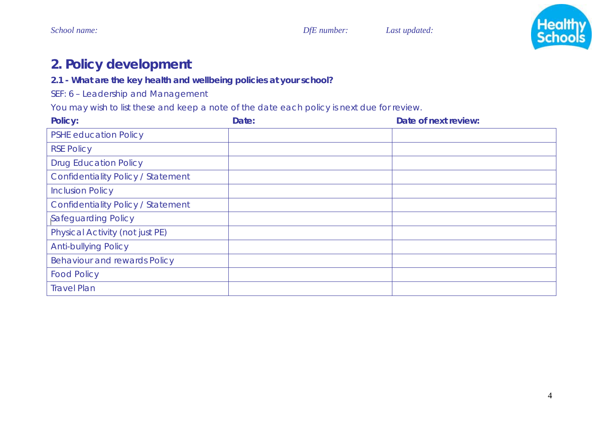

# **2. Policy development**

### **2.1 - What are the key health and wellbeing policies at your school?**

*SEF: 6 – Leadership and Management* 

You may wish to list these and keep a note of the date each policy is next due for review.

| <b>Policy:</b>                            | Date: | Date of next review: |
|-------------------------------------------|-------|----------------------|
| <b>PSHE education Policy</b>              |       |                      |
| <b>RSE Policy</b>                         |       |                      |
| <b>Drug Education Policy</b>              |       |                      |
| <b>Confidentiality Policy / Statement</b> |       |                      |
| <b>Inclusion Policy</b>                   |       |                      |
| <b>Confidentiality Policy / Statement</b> |       |                      |
| Safeguarding Policy                       |       |                      |
| <b>Physical Activity (not just PE)</b>    |       |                      |
| <b>Anti-bullying Policy</b>               |       |                      |
| <b>Behaviour and rewards Policy</b>       |       |                      |
| <b>Food Policy</b>                        |       |                      |
| <b>Travel Plan</b>                        |       |                      |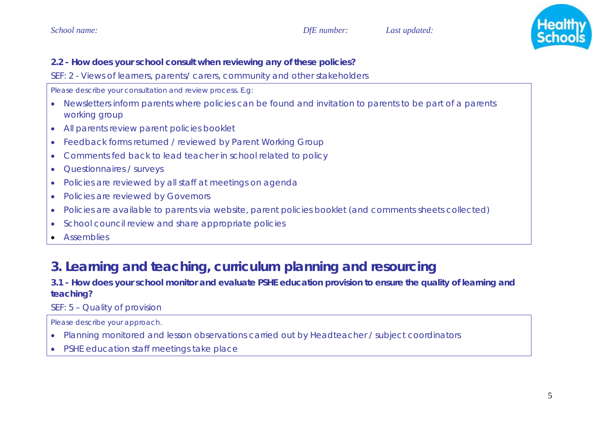

## **2.2 - How does your school consult when reviewing any of these policies?**

*SEF: 2 - Views of learners, parents/ carers, community and other stakeholders*

*Please describe your consultation and review process. E.g:* 

- • Newsletters inform parents where policies can be found and invitation to parents to be part of a parents working group
- •All parents review parent policies booklet
- •Feedback forms returned / reviewed by Parent Working Group
- •Comments fed back to lead teacher in school related to policy
- •Questionnaires / surveys
- •Policies are reviewed by all staff at meetings on agenda
- •Policies are reviewed by Governors
- •Policies are available to parents via website, parent policies booklet (and comments sheets collected)
- •School council review and share appropriate policies
- •**Assemblies**

# **3. Learning and teaching, curriculum planning and resourcing**

## **3.1 - How does your school monitor and evaluate PSHE education provision to ensure the quality of learning and teaching?**

# *SEF: 5 – Quality of provision*

*Please describe your approach.* 

- •Planning monitored and lesson observations carried out by Headteacher / subject coordinators
- •PSHE education staff meetings take place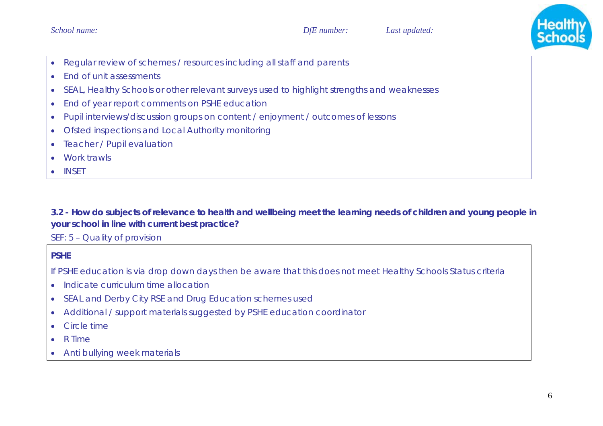

- •Regular review of schemes / resources including all staff and parents
- •End of unit assessments
- •SEAL, Healthy Schools or other relevant surveys used to highlight strengths and weaknesses
- •End of year report comments on PSHE education
- •Pupil interviews/discussion groups on content / enjoyment / outcomes of lessons
- •Ofsted inspections and Local Authority monitoring
- •Teacher / Pupil evaluation
- •Work trawls
- •**INSET**

**3.2 - How do subjects of relevance to health and wellbeing meet the learning needs of children and young people in your school in line with current best practice?** 

*SEF: 5 – Quality of provision*

#### **PSHE**

*If PSHE education is via drop down days then be aware that this does not meet Healthy Schools Status criteria* 

- •Indicate curriculum time allocation
- $\bullet$ SEAL and Derby City RSE and Drug Education schemes used
- •Additional / support materials suggested by PSHE education coordinator
- •Circle time
- •R Time
- $\bullet$ Anti bullying week materials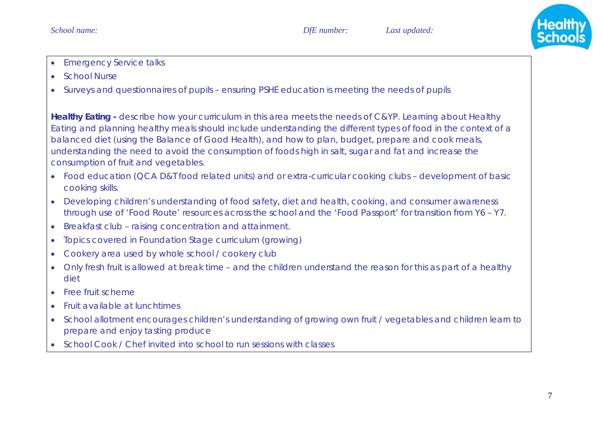

- •Emergency Service talks
- •School Nurse
- •Surveys and questionnaires of pupils – ensuring PSHE education is meeting the needs of pupils

**Healthy Eating -** *describe how your curriculum in this area meets the needs of C&YP. Learning about Healthy Eating and planning healthy meals should include understanding the different types of food in the context of a balanced diet (using the Balance of Good Health), and how to plan, budget, prepare and cook meals, understanding the need to avoid the consumption of foods high in salt, sugar and fat and increase the consumption of fruit and vegetables.*

- Food education (QCA D&T food related units) and or extra-curricular cooking clubs development of basic cooking skills.
- • Developing children's understanding of food safety, diet and health, cooking, and consumer awareness through use of 'Food Route' resources across the school and the 'Food Passport' for transition from Y6 – Y7.
- •Breakfast club – raising concentration and attainment.
- •Topics covered in Foundation Stage curriculum (growing)
- •Cookery area used by whole school / cookery club
- • Only fresh fruit is allowed at break time – and the children understand the reason for this as part of a healthy diet
- •Free fruit scheme
- •Fruit available at lunchtimes
- • School allotment encourages children's understanding of growing own fruit / vegetables and children learn to prepare and enjoy tasting produce
- School Cook / Chef invited into school to run sessions with classes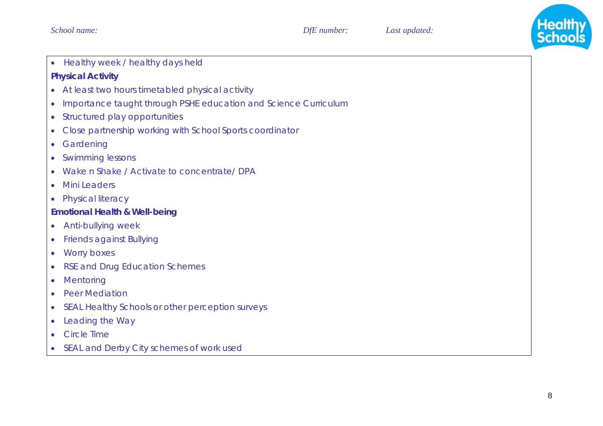

•Healthy week / healthy days held

#### **Physical Activity**

- At least two hours timetabled physical activity
- $\bullet$ Importance taught through PSHE education and Science Curriculum
- Structured play opportunities
- $\bullet$ Close partnership working with School Sports coordinator
- •**Gardening**
- $\bullet$ Swimming lessons
- •Wake n Shake / Activate to concentrate/ DPA
- •Mini Leaders
- $\bullet$ **Physical literacy**

# **Emotional Health & Well-being**

- $\bullet$ Anti-bullying week
- $\bullet$ Friends against Bullying
- •Worry boxes
- •RSE and Drug Education Schemes
- •**Mentoring**
- •Peer Mediation
- •SEAL Healthy Schools or other perception surveys
- •Leading the Way
- •Circle Time
- $\bullet$ SEAL and Derby City schemes of work used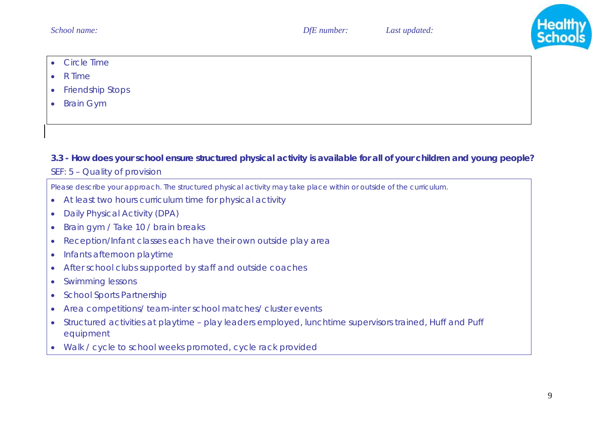

- •Circle Time
- •R Time
- •Friendship Stops
- •Brain Gym

## **3.3 - How does your school ensure structured physical activity is available for all of your children and young people?**

### *SEF: 5 – Quality of provision*

*Please describe your approach. The structured physical activity may take place within or outside of the curriculum.* 

- $\bullet$ At least two hours curriculum time for physical activity
- •Daily Physical Activity (DPA)
- •Brain gym / Take 10 / brain breaks
- •Reception/Infant classes each have their own outside play area
- •Infants afternoon playtime
- •After school clubs supported by staff and outside coaches
- •Swimming lessons
- •School Sports Partnership
- •Area competitions/ team-inter school matches/ cluster events
- • Structured activities at playtime – play leaders employed, lunchtime supervisors trained, Huff and Puff equipment
- $\bullet$ Walk / cycle to school weeks promoted, cycle rack provided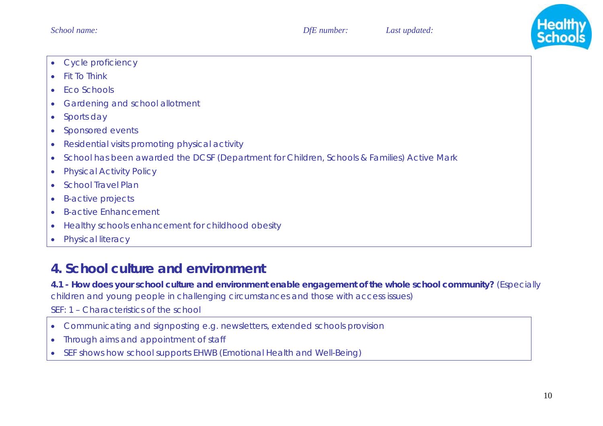

- •Cycle proficiency
- •Fit To Think
- •Eco Schools
- •Gardening and school allotment
- •Sports day
- •Sponsored events
- •Residential visits promoting physical activity
- •School has been awarded the DCSF (Department for Children, Schools & Families) Active Mark
- •Physical Activity Policy
- •School Travel Plan
- •B-active projects
- •B-active Enhancement
- •Healthy schools enhancement for childhood obesity
- •Physical literacy

# **4. School culture and environment**

**4.1 - How does your school culture and environment enable engagement of the whole school community?** (Especially children and young people in challenging circumstances and those with access issues)

*SEF: 1 – Characteristics of the school* 

- •Communicating and signposting e.g. newsletters, extended schools provision
- •Through aims and appointment of staff
- $\bullet$ SEF shows how school supports EHWB (Emotional Health and Well-Being)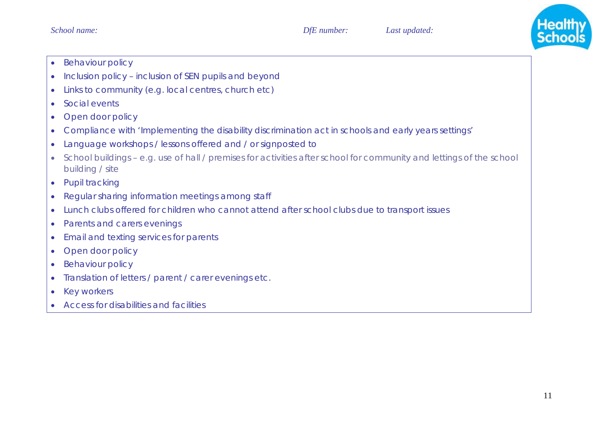

- •Behaviour policy
- •Inclusion policy – inclusion of SEN pupils and beyond
- •Links to community (e.g. local centres, church etc)
- •Social events
- •Open door policy
- •Compliance with 'Implementing the disability discrimination act in schools and early years settings'
- •Language workshops / lessons offered and / or signposted to
- • School buildings – e.g. use of hall / premises for activities after school for community and lettings of the school building / site
- $\bullet$ Pupil tracking
- •Regular sharing information meetings among staff
- •Lunch clubs offered for children who cannot attend after school clubs due to transport issues
- •Parents and carers evenings
- •Email and texting services for parents
- •Open door policy
- •Behaviour policy
- •Translation of letters / parent / carer evenings etc.
- $\bullet$ Key workers
- •Access for disabilities and facilities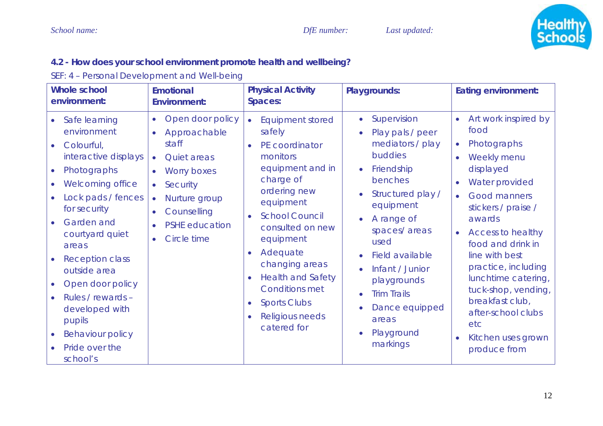

# **4.2 - How does your school environment promote health and wellbeing?**

*SEF: 4 – Personal Development and Well-being* 

| <b>Whole school</b><br>environment:                                                                                                                                                                                                                                                                                                                                                     | <b>Emotional</b><br><b>Environment:</b>                                                                                                                                                                                                                | <b>Physical Activity</b><br><b>Spaces:</b>                                                                                                                                                                                                                                                                                                              | <b>Playgrounds:</b>                                                                                                                                                                                                                                                                                                                                                             | <b>Eating environment:</b>                                                                                                                                                                                                                                                                                                                                                                                                   |
|-----------------------------------------------------------------------------------------------------------------------------------------------------------------------------------------------------------------------------------------------------------------------------------------------------------------------------------------------------------------------------------------|--------------------------------------------------------------------------------------------------------------------------------------------------------------------------------------------------------------------------------------------------------|---------------------------------------------------------------------------------------------------------------------------------------------------------------------------------------------------------------------------------------------------------------------------------------------------------------------------------------------------------|---------------------------------------------------------------------------------------------------------------------------------------------------------------------------------------------------------------------------------------------------------------------------------------------------------------------------------------------------------------------------------|------------------------------------------------------------------------------------------------------------------------------------------------------------------------------------------------------------------------------------------------------------------------------------------------------------------------------------------------------------------------------------------------------------------------------|
| Safe learning<br>$\bullet$<br>environment<br>Colourful,<br>interactive displays<br>Photographs<br>$\bullet$<br><b>Welcoming office</b><br>Lock pads / fences<br>for security<br>Garden and<br>courtyard quiet<br>areas<br><b>Reception class</b><br>outside area<br>Open door policy<br>Rules / rewards -<br>developed with<br>pupils<br>Behaviour policy<br>Pride over the<br>school's | Open door policy<br>$\bullet$<br>Approachable<br>$\bullet$<br>staff<br>Quiet areas<br>$\bullet$<br>Worry boxes<br>$\bullet$<br>Security<br>$\bullet$<br>Nurture group<br>$\bullet$<br>Counselling<br>$\bullet$<br><b>PSHE</b> education<br>Circle time | <b>Equipment stored</b><br>$\bullet$<br>safely<br>PE coordinator<br>monitors<br>equipment and in<br>charge of<br>ordering new<br>equipment<br><b>School Council</b><br>consulted on new<br>equipment<br>Adequate<br>changing areas<br><b>Health and Safety</b><br><b>Conditions met</b><br><b>Sports Clubs</b><br><b>Religious needs</b><br>catered for | • Supervision<br>Play pals / peer<br>$\bullet$<br>mediators / play<br>buddies<br>Friendship<br>benches<br>Structured play /<br>$\bullet$<br>equipment<br>A range of<br>$\bullet$<br>spaces/areas<br>used<br>Field available<br>$\bullet$<br>Infant / Junior<br>$\bullet$<br>playgrounds<br><b>Trim Trails</b><br>$\bullet$<br>Dance equipped<br>areas<br>Playground<br>markings | Art work inspired by<br>$\bullet$<br>food<br>Photographs<br>$\bullet$<br>Weekly menu<br>displayed<br>Water provided<br>$\bullet$<br>Good manners<br>$\bullet$<br>stickers / praise /<br>awards<br><b>Access to healthy</b><br>food and drink in<br>line with best<br>practice, including<br>lunchtime catering,<br>tuck-shop, vending,<br>breakfast club,<br>after-school clubs<br>etc<br>Kitchen uses grown<br>produce from |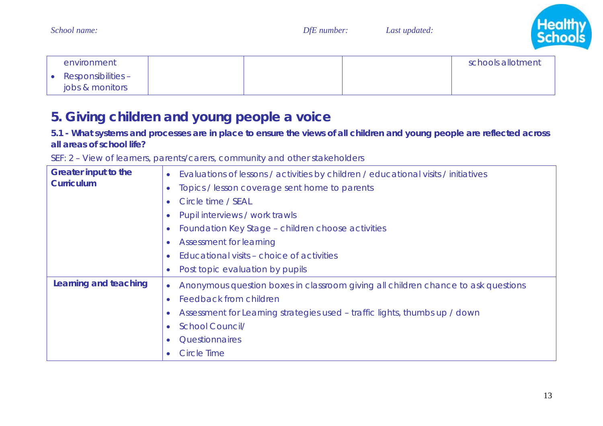| environment            |  | schools allotment |
|------------------------|--|-------------------|
| • Responsibilities $-$ |  |                   |
| jobs & monitors        |  |                   |

# **5. Giving children and young people a voice**

#### **5.1 - What systems and processes are in place to ensure the views of all children and young people are reflected across all areas of school life?**

*School name: DfE number: Last updated:* 

| <b>Greater input to the</b><br><b>Curriculum</b> | Evaluations of lessons / activities by children / educational visits / initiatives |
|--------------------------------------------------|------------------------------------------------------------------------------------|
|                                                  | Topics / lesson coverage sent home to parents                                      |
|                                                  | Circle time / SEAL<br>$\bullet$                                                    |
|                                                  | Pupil interviews / work trawls                                                     |
|                                                  | Foundation Key Stage - children choose activities<br>$\bullet$                     |
|                                                  | Assessment for learning<br>$\bullet$                                               |
|                                                  | Educational visits - choice of activities                                          |
|                                                  | Post topic evaluation by pupils                                                    |
| Learning and teaching                            | Anonymous question boxes in classroom giving all children chance to ask questions  |
|                                                  | Feedback from children                                                             |
|                                                  | Assessment for Learning strategies used – traffic lights, thumbs up / down         |
|                                                  | <b>School Council/</b>                                                             |
|                                                  | Questionnaires                                                                     |
|                                                  | <b>Circle Time</b>                                                                 |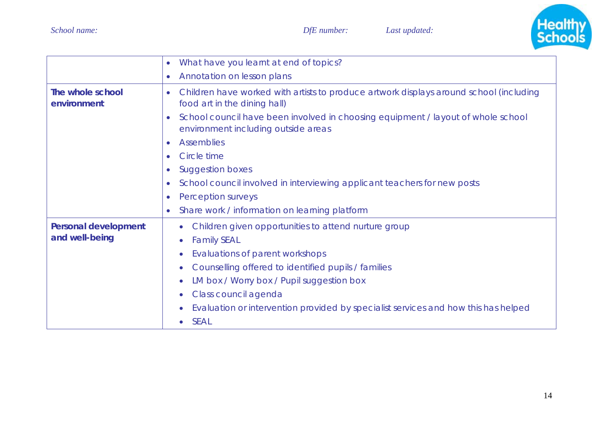

|                                 | What have you learnt at end of topics?<br>$\bullet$                                                                                  |
|---------------------------------|--------------------------------------------------------------------------------------------------------------------------------------|
|                                 | Annotation on lesson plans<br>$\bullet$                                                                                              |
| The whole school<br>environment | Children have worked with artists to produce artwork displays around school (including<br>$\bullet$<br>food art in the dining hall)  |
|                                 | School council have been involved in choosing equipment / layout of whole school<br>$\bullet$<br>environment including outside areas |
|                                 | <b>Assemblies</b><br>$\bullet$                                                                                                       |
|                                 | Circle time<br>$\bullet$                                                                                                             |
|                                 | <b>Suggestion boxes</b><br>$\bullet$                                                                                                 |
|                                 | School council involved in interviewing applicant teachers for new posts<br>$\bullet$                                                |
|                                 | Perception surveys<br>$\bullet$                                                                                                      |
|                                 | Share work / information on learning platform<br>$\bullet$                                                                           |
| <b>Personal development</b>     | Children given opportunities to attend nurture group<br>$\bullet$                                                                    |
| and well-being                  | <b>Family SEAL</b><br>$\bullet$                                                                                                      |
|                                 | Evaluations of parent workshops                                                                                                      |
|                                 | Counselling offered to identified pupils / families                                                                                  |
|                                 | LM box / Worry box / Pupil suggestion box                                                                                            |
|                                 | Class council agenda                                                                                                                 |
|                                 | Evaluation or intervention provided by specialist services and how this has helped                                                   |
|                                 | <b>SEAL</b>                                                                                                                          |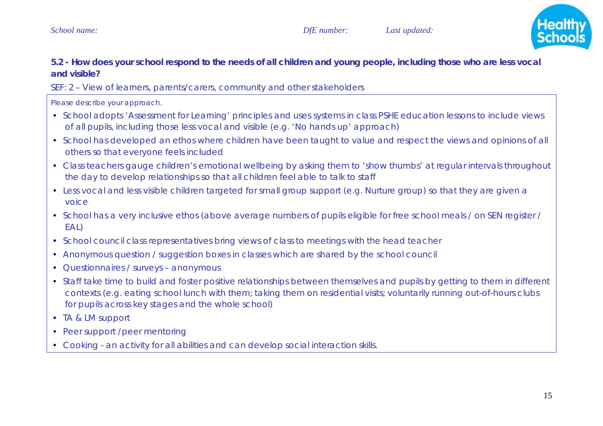

# **5.2 - How does your school respond to the needs of all children and young people, including those who are less vocal and visible?**

*SEF: 2 – View of learners, parents/carers, community and other stakeholders* 

*Please describe your approach.* 

- School adopts 'Assessment for Learning' principles and uses systems in class PSHE education lessons to include views of all pupils, including those less vocal and visible (e.g. 'No hands up' approach)
- School has developed an ethos where children have been taught to value and respect the views and opinions of all others so that everyone feels included
- Class teachers gauge children's emotional wellbeing by asking them to 'show thumbs' at regular intervals throughout the day to develop relationships so that all children feel able to talk to staff
- Less vocal and less visible children targeted for small group support (e.g. Nurture group) so that they are given a voice
- School has a very inclusive ethos (above average numbers of pupils eligible for free school meals / on SEN register / EAL)
- School council class representatives bring views of class to meetings with the head teacher
- Anonymous question / suggestion boxes in classes which are shared by the school council
- Questionnaires / surveys anonymous
- Staff take time to build and foster positive relationships between themselves and pupils by getting to them in different contexts (e.g. eating school lunch with them; taking them on residential visits; voluntarily running out-of-hours clubs for pupils across key stages and the whole school)
- TA & LM support
- Peer support /peer mentoring
- Cooking an activity for all abilities and can develop social interaction skills.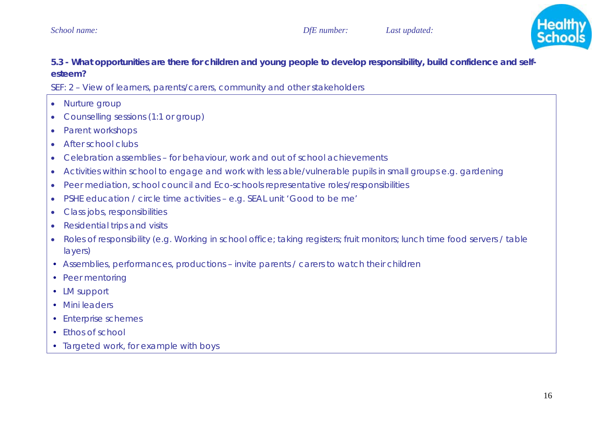

# **5.3 - What opportunities are there for children and young people to develop responsibility, build confidence and selfesteem?**

*SEF: 2 – View of learners, parents/carers, community and other stakeholders* 

- •Nurture group
- •Counselling sessions (1:1 or group)
- •Parent workshops
- •After school clubs
- •Celebration assemblies – for behaviour, work and out of school achievements
- •Activities within school to engage and work with less able/vulnerable pupils in small groups e.g. gardening
- •Peer mediation, school council and Eco-schools representative roles/responsibilities
- •PSHE education / circle time activities – e.g. SEAL unit 'Good to be me'
- •Class jobs, responsibilities
- •Residential trips and visits
- • Roles of responsibility (e.g. Working in school office; taking registers; fruit monitors; lunch time food servers / table layers)
- Assemblies, performances, productions invite parents / carers to watch their children
- Peer mentoring
- LM support
- Mini leaders
- Enterprise schemes
- Ethos of school
- Targeted work, for example with boys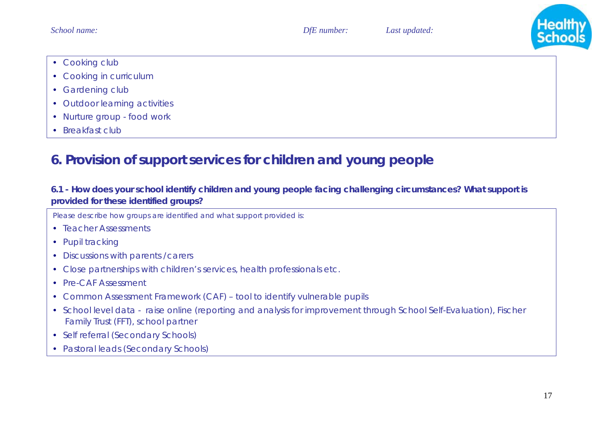

- Cooking club
- Cooking in curriculum
- Gardening club
- Outdoor learning activities
- Nurture group food work
- Breakfast club

# **6. Provision of support services for children and young people**

# **6.1 - How does your school identify children and young people facing challenging circumstances? What support is provided for these identified groups?**

*Please describe how groups are identified and what support provided is:* 

- Teacher Assessments
- Pupil tracking
- Discussions with parents / carers
- Close partnerships with children's services, health professionals etc.
- Pre-CAF Assessment
- Common Assessment Framework (CAF) tool to identify vulnerable pupils
- School level data raise online (reporting and analysis for improvement through School Self-Evaluation), Fischer Family Trust (FFT), school partner
- Self referral (Secondary Schools)
- Pastoral leads (Secondary Schools)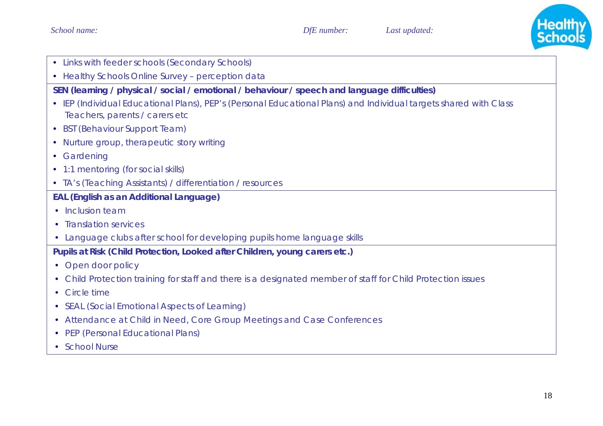

- Links with feeder schools (Secondary Schools)
- Healthy Schools Online Survey perception data

**SEN (learning / physical / social / emotional / behaviour / speech and language difficulties)** 

- IEP (Individual Educational Plans), PEP's (Personal Educational Plans) and Individual targets shared with Class Teachers, parents / carers etc
- BST (Behaviour Support Team)
- Nurture group, therapeutic story writing
- Gardening
- 1:1 mentoring (for social skills)
- TA's (Teaching Assistants) / differentiation / resources

#### **EAL (English as an Additional Language)**

- Inclusion team
- Translation services
- Language clubs after school for developing pupils home language skills

**Pupils at Risk (Child Protection, Looked after Children, young carers etc.)** 

- Open door policy
- Child Protection training for staff and there is a designated member of staff for Child Protection issues
- $\bullet$  Circle time
- SEAL (Social Emotional Aspects of Learning)
- Attendance at Child in Need, Core Group Meetings and Case Conferences
- PEP (Personal Educational Plans)
- School Nurse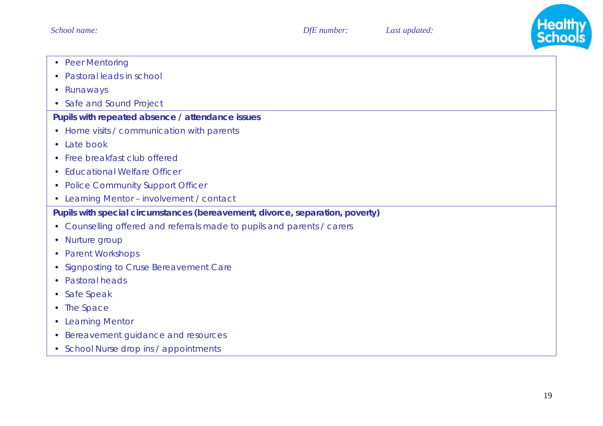

- Peer Mentoring
- Pastoral leads in school
- Runaways
- Safe and Sound Project

#### **Pupils with repeated absence / attendance issues**

- Home visits / communication with parents
- Late book
- Free breakfast club offered
- Educational Welfare Officer
- Police Community Support Officer
- Learning Mentor involvement / contact

## **Pupils with special circumstances (bereavement, divorce, separation, poverty)**

- Counselling offered and referrals made to pupils and parents / carers
- Nurture group
- Parent Workshops
- Signposting to Cruse Bereavement Care
- Pastoral heads
- Safe Speak
- The Space
- Learning Mentor
- Bereavement guidance and resources
- School Nurse drop ins / appointments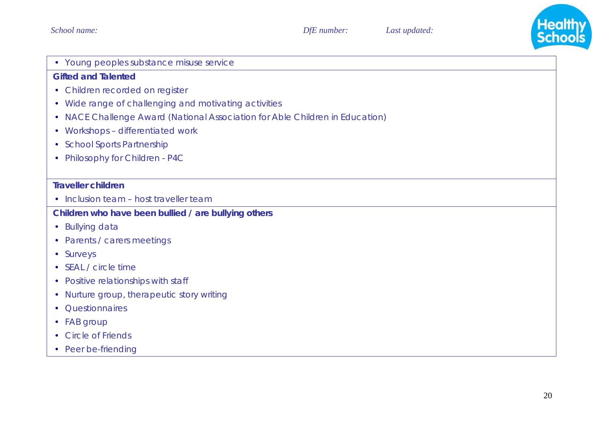

• Young peoples substance misuse service

#### **Gifted and Talented**

- Children recorded on register
- Wide range of challenging and motivating activities
- NACE Challenge Award (National Association for Able Children in Education)
- Workshops differentiated work
- School Sports Partnership
- Philosophy for Children P4C

#### **Traveller children**

• Inclusion team – host traveller team

## **Children who have been bullied / are bullying others**

- Bullying data
- Parents / carers meetings
- Surveys
- SEAL / circle time
- Positive relationships with staff
- Nurture group, therapeutic story writing
- Questionnaires
- FAB group
- Circle of Friends
- Peer be-friending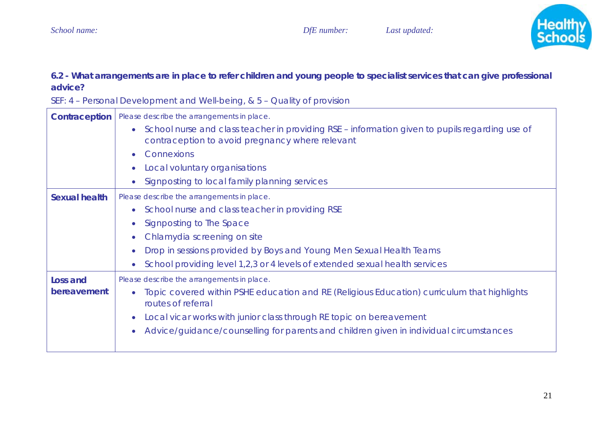

### **6.2 - What arrangements are in place to refer children and young people to specialist services that can give professional advice?**

| <b>Contraception</b> | Please describe the arrangements in place.                                                                                                          |
|----------------------|-----------------------------------------------------------------------------------------------------------------------------------------------------|
|                      | • School nurse and class teacher in providing RSE – information given to pupils regarding use of<br>contraception to avoid pregnancy where relevant |
|                      | Connexions                                                                                                                                          |
|                      | Local voluntary organisations                                                                                                                       |
|                      | Signposting to local family planning services                                                                                                       |
| <b>Sexual health</b> | Please describe the arrangements in place.                                                                                                          |
|                      | School nurse and class teacher in providing RSE                                                                                                     |
|                      | Signposting to The Space                                                                                                                            |
|                      | Chlamydia screening on site                                                                                                                         |
|                      | Drop in sessions provided by Boys and Young Men Sexual Health Teams                                                                                 |
|                      | School providing level 1,2,3 or 4 levels of extended sexual health services                                                                         |
| Loss and             | Please describe the arrangements in place.                                                                                                          |
| bereavement          | Topic covered within PSHE education and RE (Religious Education) curriculum that highlights<br>routes of referral                                   |
|                      | Local vicar works with junior class through RE topic on bereavement                                                                                 |
|                      | Advice/guidance/counselling for parents and children given in individual circumstances                                                              |

*SEF: 4 – Personal Development and Well-being, & 5 – Quality of provision*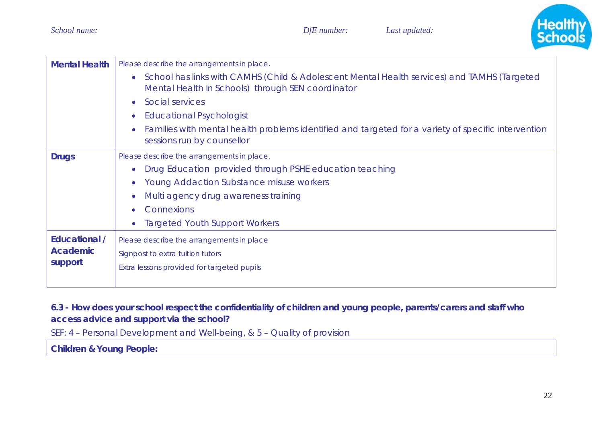

| <b>Mental Health</b>                               | Please describe the arrangements in place.<br>School has links with CAMHS (Child & Adolescent Mental Health services) and TAMHS (Targeted<br>$\bullet$<br>Mental Health in Schools) through SEN coordinator<br>Social services<br>$\bullet$<br><b>Educational Psychologist</b><br>Families with mental health problems identified and targeted for a variety of specific intervention<br>sessions run by counsellor |
|----------------------------------------------------|---------------------------------------------------------------------------------------------------------------------------------------------------------------------------------------------------------------------------------------------------------------------------------------------------------------------------------------------------------------------------------------------------------------------|
| <b>Drugs</b>                                       | Please describe the arrangements in place.<br>Drug Education provided through PSHE education teaching<br>$\bullet$<br><b>Young Addaction Substance misuse workers</b><br>$\bullet$<br>Multi agency drug awareness training<br>Connexions<br><b>Targeted Youth Support Workers</b>                                                                                                                                   |
| <b>Educational /</b><br><b>Academic</b><br>support | Please describe the arrangements in place<br>Signpost to extra tuition tutors<br>Extra lessons provided for targeted pupils                                                                                                                                                                                                                                                                                         |

## **6.3 - How does your school respect the confidentiality of children and young people, parents/carers and staff who access advice and support via the school?**

*SEF: 4 – Personal Development and Well-being, & 5 – Quality of provision*

**Children & Young People:**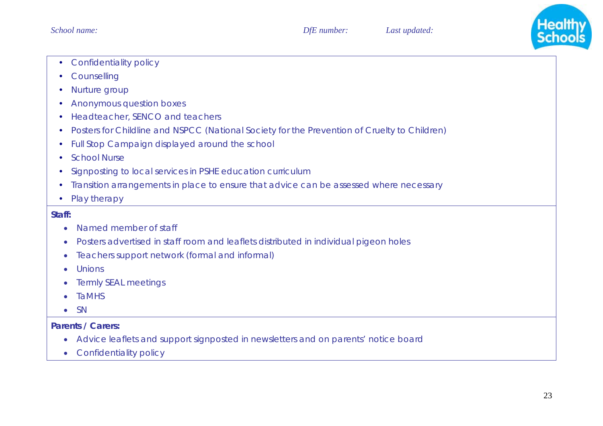

- $\bullet$ Confidentiality policy
- Counselling
- $\bullet$ Nurture group
- $\bullet$ Anonymous question boxes
- Headteacher, SENCO and teachers
- $\bullet$ Posters for Childline and NSPCC (National Society for the Prevention of Cruelty to Children)
- Full Stop Campaign displayed around the school
- $\bullet$ School Nurse
- $\bullet$ Signposting to local services in PSHE education curriculum
- $\bullet$ Transition arrangements in place to ensure that advice can be assessed where necessary
- $\bullet$ Play therapy

#### **Staff:**

- •Named member of staff
- •Posters advertised in staff room and leaflets distributed in individual pigeon holes
- $\bullet$ Teachers support network (formal and informal)
- •Unions
- •Termly SEAL meetings
- •TaMHS
- •**SN**

#### **Parents / Carers:**

- Advice leaflets and support signposted in newsletters and on parents' notice board
- Confidentiality policy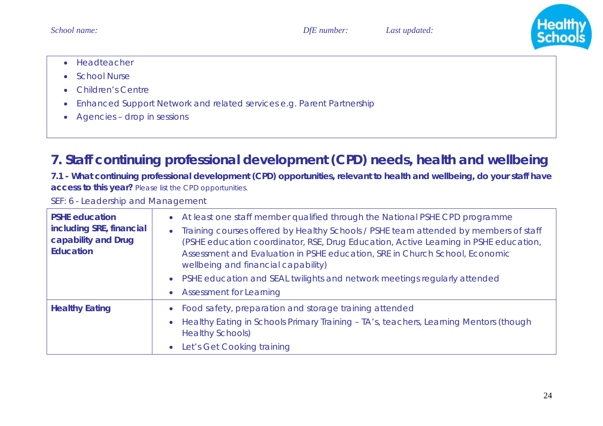

- Headteacher
- •School Nurse
- •Children's Centre
- •Enhanced Support Network and related services e.g. Parent Partnership
- Agencies drop in sessions

# **7. Staff continuing professional development (CPD) needs, health and wellbeing**

**7.1 - What continuing professional development (CPD) opportunities, relevant to health and wellbeing, do your staff have access to this year?** *Please list the CPD opportunities.* 

*SEF: 6 - Leadership and Management*

| <b>PSHE education</b><br>including SRE, financial<br>capability and Drug<br><b>Education</b> | • At least one staff member qualified through the National PSHE CPD programme<br>• Training courses offered by Healthy Schools / PSHE team attended by members of staff<br>(PSHE education coordinator, RSE, Drug Education, Active Learning in PSHE education,<br>Assessment and Evaluation in PSHE education, SRE in Church School, Economic<br>wellbeing and financial capability)<br>• PSHE education and SEAL twilights and network meetings regularly attended<br>• Assessment for Learning |
|----------------------------------------------------------------------------------------------|---------------------------------------------------------------------------------------------------------------------------------------------------------------------------------------------------------------------------------------------------------------------------------------------------------------------------------------------------------------------------------------------------------------------------------------------------------------------------------------------------|
| <b>Healthy Eating</b>                                                                        | • Food safety, preparation and storage training attended<br>Healthy Eating in Schools Primary Training - TA's, teachers, Learning Mentors (though<br>$\bullet$<br><b>Healthy Schools)</b><br>Let's Get Cooking training<br>$\bullet$                                                                                                                                                                                                                                                              |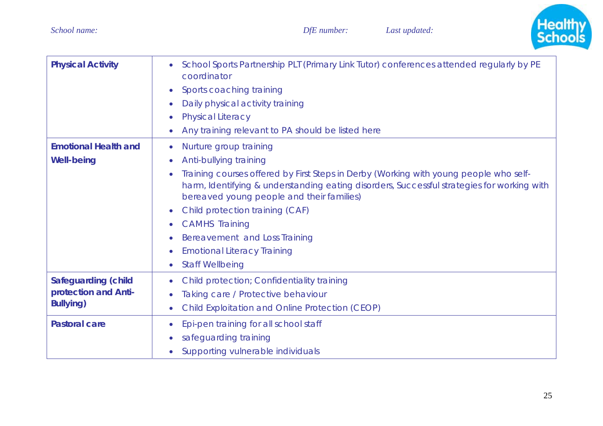

| <b>Physical Activity</b>                                               | School Sports Partnership PLT (Primary Link Tutor) conferences attended regularly by PE<br>coordinator<br>Sports coaching training<br>Daily physical activity training<br><b>Physical Literacy</b><br>Any training relevant to PA should be listed here                                                                                                                                                                                           |
|------------------------------------------------------------------------|---------------------------------------------------------------------------------------------------------------------------------------------------------------------------------------------------------------------------------------------------------------------------------------------------------------------------------------------------------------------------------------------------------------------------------------------------|
| <b>Emotional Health and</b><br><b>Well-being</b>                       | Nurture group training<br>Anti-bullying training<br>Training courses offered by First Steps in Derby (Working with young people who self-<br>harm, Identifying & understanding eating disorders, Successful strategies for working with<br>bereaved young people and their families)<br>Child protection training (CAF)<br><b>CAMHS Training</b><br>Bereavement and Loss Training<br><b>Emotional Literacy Training</b><br><b>Staff Wellbeing</b> |
| <b>Safeguarding (child</b><br>protection and Anti-<br><b>Bullying)</b> | <b>Child protection; Confidentiality training</b><br>Taking care / Protective behaviour<br><b>Child Exploitation and Online Protection (CEOP)</b>                                                                                                                                                                                                                                                                                                 |
| <b>Pastoral care</b>                                                   | Epi-pen training for all school staff<br>safeguarding training<br>Supporting vulnerable individuals                                                                                                                                                                                                                                                                                                                                               |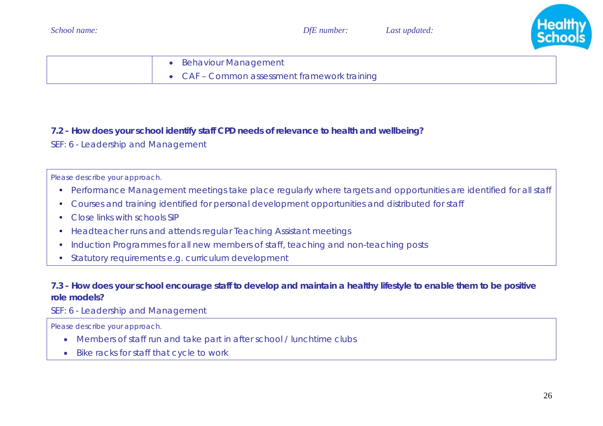

| <b>Behaviour Management</b>                  |
|----------------------------------------------|
| • CAF - Common assessment framework training |

### **7.2 - How does your school identify staff CPD needs of relevance to health and wellbeing?**

*SEF: 6 - Leadership and Management* 

*Please describe your approach.* 

- Performance Management meetings take place regularly where targets and opportunities are identified for all staff
- $\bullet$ Courses and training identified for personal development opportunities and distributed for staff
- $\bullet$ Close links with schools SIP
- $\bullet$ Headteacher runs and attends regular Teaching Assistant meetings
- $\bullet$ Induction Programmes for all new members of staff, teaching and non-teaching posts
- Statutory requirements e.g. curriculum development

### **7.3 - How does your school encourage staff to develop and maintain a healthy lifestyle to enable them to be positive role models?**

### *SEF: 6 - Leadership and Management*

*Please describe your approach.* 

- Members of staff run and take part in after school / lunchtime clubs
- Bike racks for staff that cycle to work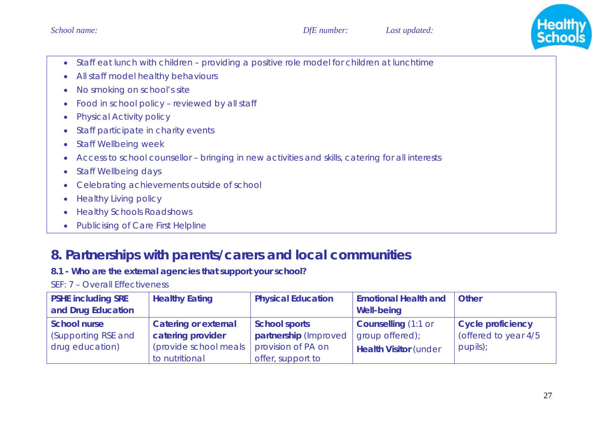

- Staff eat lunch with children providing a positive role model for children at lunchtime
- $\bullet$ All staff model healthy behaviours
- $\bullet$ No smoking on school's site
- $\bullet$ Food in school policy – reviewed by all staff
- $\bullet$ Physical Activity policy
- $\bullet$ Staff participate in charity events
- $\bullet$ Staff Wellbeing week
- •Access to school counsellor – bringing in new activities and skills, catering for all interests
- $\bullet$ Staff Wellbeing days
- $\bullet$ Celebrating achievements outside of school
- $\bullet$ Healthy Living policy
- $\bullet$ Healthy Schools Roadshows
- $\bullet$ Publicising of Care First Helpline

# **8. Partnerships with parents/carers and local communities**

## **8.1 - Who are the external agencies that support your school?**

| <b>PSHE including SRE</b><br>and Drug Education               | <b>Healthy Eating</b>                                                                       | <b>Physical Education</b>                                                                | <b>Emotional Health and</b><br><b>Well-being</b>                              | <b>Other</b>                                                 |
|---------------------------------------------------------------|---------------------------------------------------------------------------------------------|------------------------------------------------------------------------------------------|-------------------------------------------------------------------------------|--------------------------------------------------------------|
| <b>School nurse</b><br>(Supporting RSE and<br>drug education) | <b>Catering or external</b><br>catering provider<br>(provide school meals<br>to nutritional | <b>School sports</b><br>partnership (Improved<br>provision of PA on<br>offer, support to | <b>Counselling (1:1 or</b><br>group offered);<br><b>Health Visitor (under</b> | <b>Cycle proficiency</b><br>(offered to year 4/5<br>pupils); |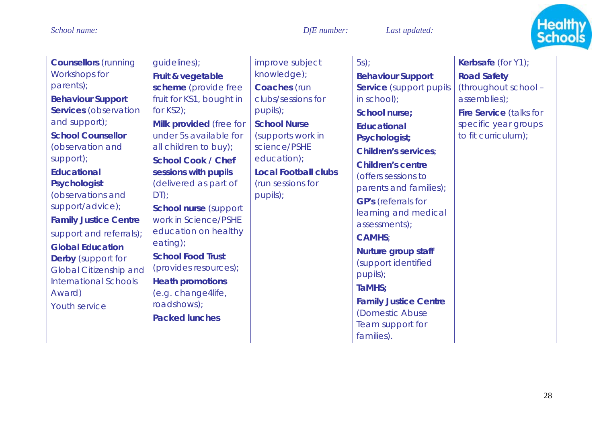

| <b>Counsellors</b> (running<br>Workshops for<br>parents);<br><b>Behaviour Support</b><br><b>Services</b> (observation<br>and support);<br><b>School Counsellor</b><br>(observation and<br>support);<br><b>Educational</b><br>Psychologist<br>(observations and<br>support/advice);<br><b>Family Justice Centre</b><br>support and referrals);<br><b>Global Education</b><br><b>Derby</b> (support for<br><b>Global Citizenship and</b><br><b>International Schools</b> | guidelines);<br>Fruit & vegetable<br>scheme (provide free<br>fruit for KS1, bought in<br>for $KS2$ );<br>Milk provided (free for<br>under 5s available for<br>all children to buy);<br><b>School Cook / Chef</b><br>sessions with pupils<br>(delivered as part of<br>$DT)$ ;<br><b>School nurse (support)</b><br>work in Science/PSHE<br>education on healthy<br>eating);<br><b>School Food Trust</b><br>(provides resources);<br><b>Heath promotions</b> | improve subject<br>knowledge);<br>Coaches (run<br>clubs/sessions for<br>pupils);<br><b>School Nurse</b><br>(supports work in<br>science/PSHE<br>education);<br><b>Local Football clubs</b><br>(run sessions for<br>pupils); | $5s$ );<br><b>Behaviour Support</b><br><b>Service</b> (support pupils<br>$in$ school);<br><b>School nurse;</b><br><b>Educational</b><br>Psychologist;<br><b>Children's services:</b><br><b>Children's centre</b><br>(offers sessions to<br>parents and families);<br><b>GP's</b> (referrals for<br>learning and medical<br>assessments);<br><b>CAMHS:</b><br><b>Nurture group staff</b><br>(support identified<br>pupils);<br>TaMHS: | Kerbsafe (for Y1);<br><b>Road Safety</b><br>(throughout school -<br>assemblies);<br><b>Fire Service (talks for</b><br>specific year groups<br>to fit curriculum); |
|------------------------------------------------------------------------------------------------------------------------------------------------------------------------------------------------------------------------------------------------------------------------------------------------------------------------------------------------------------------------------------------------------------------------------------------------------------------------|-----------------------------------------------------------------------------------------------------------------------------------------------------------------------------------------------------------------------------------------------------------------------------------------------------------------------------------------------------------------------------------------------------------------------------------------------------------|-----------------------------------------------------------------------------------------------------------------------------------------------------------------------------------------------------------------------------|--------------------------------------------------------------------------------------------------------------------------------------------------------------------------------------------------------------------------------------------------------------------------------------------------------------------------------------------------------------------------------------------------------------------------------------|-------------------------------------------------------------------------------------------------------------------------------------------------------------------|
| (e.g. change4life,<br>Award)<br>roadshows);<br><b>Youth service</b><br><b>Packed lunches</b>                                                                                                                                                                                                                                                                                                                                                                           |                                                                                                                                                                                                                                                                                                                                                                                                                                                           | <b>Family Justice Centre</b><br>(Domestic Abuse<br>Team support for<br>families).                                                                                                                                           |                                                                                                                                                                                                                                                                                                                                                                                                                                      |                                                                                                                                                                   |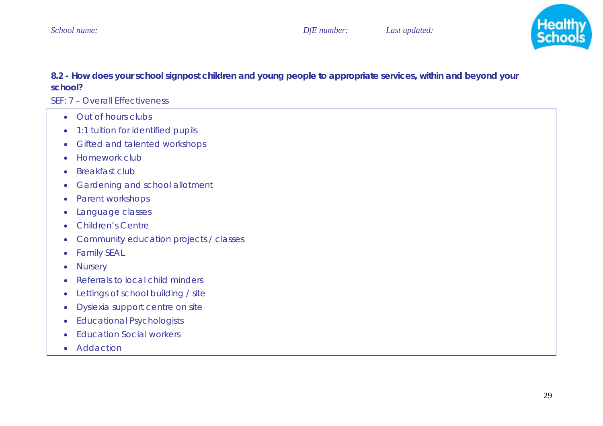

### **8.2 - How does your school signpost children and young people to appropriate services, within and beyond your school?**

- Out of hours clubs
- 1:1 tuition for identified pupils
- Gifted and talented workshops
- Homework club
- •Breakfast club
- •Gardening and school allotment
- •Parent workshops
- •Language classes
- $\bullet$ Children's Centre
- •Community education projects / classes
- $\bullet$ Family SEAL
- •**Nursery**
- •Referrals to local child minders
- •Lettings of school building / site
- $\bullet$ Dyslexia support centre on site
- Educational Psychologists
- Education Social workers
- Addaction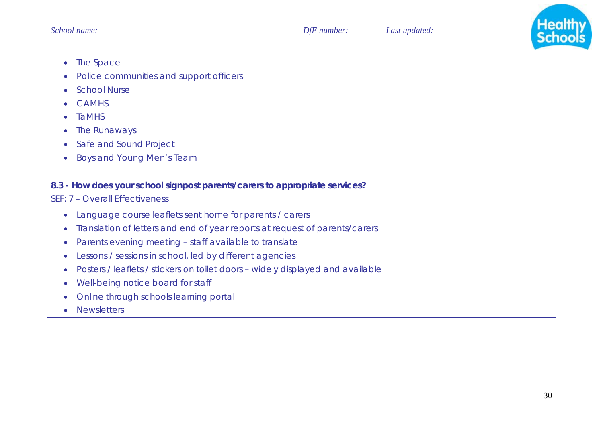

- The Space
- $\bullet$ Police communities and support officers
- $\bullet$ School Nurse
- •CAMHS
- •TaMHS
- $\bullet$ The Runaways
- $\bullet$ Safe and Sound Project
- Boys and Young Men's Team

#### **8.3 - How does your school signpost parents/carers to appropriate services?**

- Language course leaflets sent home for parents / carers
- $\bullet$ Translation of letters and end of year reports at request of parents/carers
- •Parents evening meeting – staff available to translate
- $\bullet$ Lessons / sessions in school, led by different agencies
- •Posters / leaflets / stickers on toilet doors – widely displayed and available
- $\bullet$ Well-being notice board for staff
- $\bullet$ Online through schools learning portal
- •**Newsletters**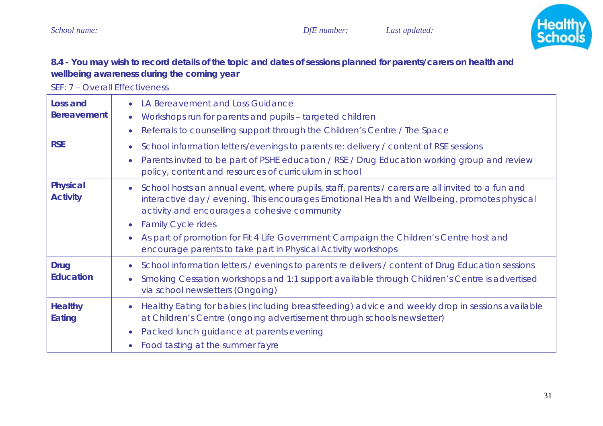

## **8.4 - You may wish to record details of the topic and dates of sessions planned for parents/carers on health and wellbeing awareness during the coming year**

| Loss and<br><b>Bereavement</b>     | LA Bereavement and Loss Guidance<br>$\bullet$<br>Workshops run for parents and pupils - targeted children<br>$\bullet$<br>Referrals to counselling support through the Children's Centre / The Space<br>$\bullet$                                                                                                                                                                                                                                                               |
|------------------------------------|---------------------------------------------------------------------------------------------------------------------------------------------------------------------------------------------------------------------------------------------------------------------------------------------------------------------------------------------------------------------------------------------------------------------------------------------------------------------------------|
| <b>RSE</b>                         | School information letters/evenings to parents re: delivery / content of RSE sessions<br>$\bullet$<br>Parents invited to be part of PSHE education / RSE / Drug Education working group and review<br>$\bullet$<br>policy, content and resources of curriculum in school                                                                                                                                                                                                        |
| <b>Physical</b><br><b>Activity</b> | School hosts an annual event, where pupils, staff, parents / carers are all invited to a fun and<br>$\bullet$<br>interactive day / evening. This encourages Emotional Health and Wellbeing, promotes physical<br>activity and encourages a cohesive community<br><b>Family Cycle rides</b><br>$\bullet$<br>As part of promotion for Fit 4 Life Government Campaign the Children's Centre host and<br>$\bullet$<br>encourage parents to take part in Physical Activity workshops |
| <b>Drug</b><br><b>Education</b>    | School information letters / evenings to parents re delivers / content of Drug Education sessions<br>$\bullet$<br>Smoking Cessation workshops and 1:1 support available through Children's Centre is advertised<br>$\bullet$<br>via school newsletters (Ongoing)                                                                                                                                                                                                                |
| <b>Healthy</b><br>Eating           | Healthy Eating for babies (including breastfeeding) advice and weekly drop in sessions available<br>at Children's Centre (ongoing advertisement through schools newsletter)<br>Packed lunch guidance at parents evening<br>$\bullet$<br>Food tasting at the summer fayre<br>$\bullet$                                                                                                                                                                                           |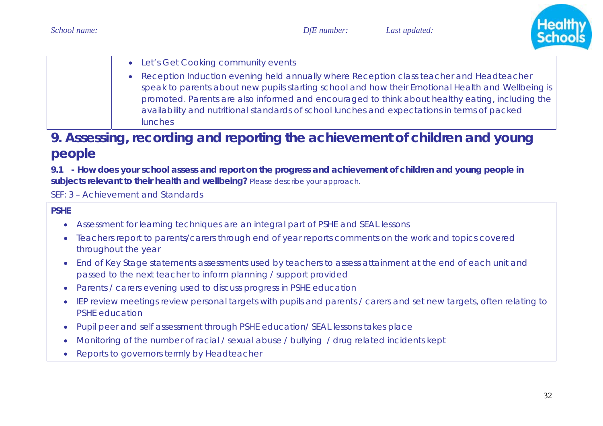

| • Let's Get Cooking community events                                                                                                                                                                                                                                                                                                                                                                                |
|---------------------------------------------------------------------------------------------------------------------------------------------------------------------------------------------------------------------------------------------------------------------------------------------------------------------------------------------------------------------------------------------------------------------|
| • Reception Induction evening held annually where Reception class teacher and Headteacher<br>speak to parents about new pupils starting school and how their Emotional Health and Wellbeing is<br>promoted. Parents are also informed and encouraged to think about healthy eating, including the<br>availability and nutritional standards of school lunches and expectations in terms of packed<br><b>lunches</b> |

# **9. Assessing, recording and reporting the achievement of children and young people**

**9.1 - How does your school assess and report on the progress and achievement of children and young people in subjects relevant to their health and wellbeing?** *Please describe your approach.* 

*SEF: 3 – Achievement and Standards*

### **PSHE**

- •Assessment for learning techniques are an integral part of PSHE and SEAL lessons
- • Teachers report to parents/carers through end of year reports comments on the work and topics covered throughout the year
- End of Key Stage statements assessments used by teachers to assess attainment at the end of each unit and passed to the next teacher to inform planning / support provided
- Parents / carers evening used to discuss progress in PSHE education
- IEP review meetings review personal targets with pupils and parents / carers and set new targets, often relating to PSHE education
- •Pupil peer and self assessment through PSHE education/ SEAL lessons takes place
- •Monitoring of the number of racial / sexual abuse / bullying / drug related incidents kept
- $\bullet$ Reports to governors termly by Headteacher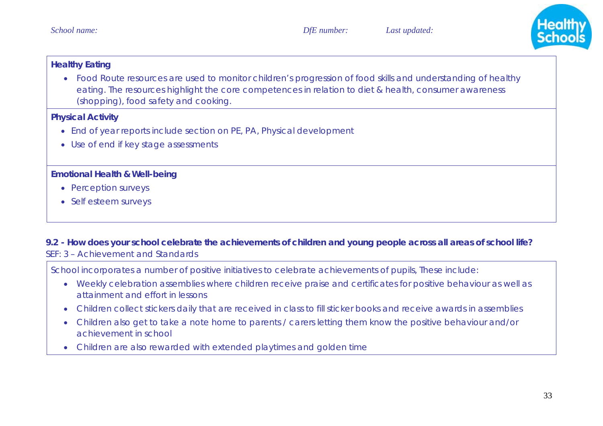

### **Healthy Eating**

• Food Route resources are used to monitor children's progression of food skills and understanding of healthy eating. The resources highlight the core competences in relation to diet & health, consumer awareness (shopping), food safety and cooking.

#### **Physical Activity**

- End of year reports include section on PE, PA, Physical development
- Use of end if key stage assessments

### **Emotional Health & Well-being**

- Perception surveys
- Self esteem surveys

### **9.2 - How does your school celebrate the achievements of children and young people across all areas of school life?**  *SEF: 3 – Achievement and Standards*

School incorporates a number of positive initiatives to celebrate achievements of pupils, These include:

- Weekly celebration assemblies where children receive praise and certificates for positive behaviour as well as attainment and effort in lessons
- •Children collect stickers daily that are received in class to fill sticker books and receive awards in assemblies
- Children also get to take a note home to parents / carers letting them know the positive behaviour and/or achievement in school
- Children are also rewarded with extended playtimes and golden time